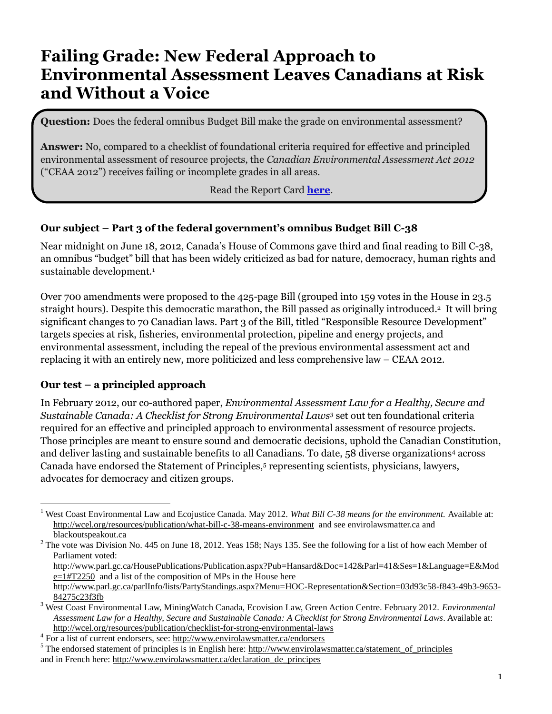# **Failing Grade: New Federal Approach to Environmental Assessment Leaves Canadians at Risk and Without a Voice**

**Question:** Does the federal omnibus Budget Bill make the grade on environmental assessment?

**Answer:** No, compared to a checklist of foundational criteria required for effective and principled environmental assessment of resource projects, the *Canadian Environmental Assessment Act 2012*  ("CEAA 2012") receives failing or incomplete grades in all areas.

#### Read the Report Card **[here](http://wcel.org/sites/default/files/publications/Report%20Card%20on%20Bill%20C-38%20June%2020%202012.pdf)**.

## **Our subject – Part 3 of the federal government's omnibus Budget Bill C-38**

Near midnight on June 18, 2012, Canada's House of Commons gave third and final reading to Bill C-38, an omnibus "budget" bill that has been widely criticized as bad for nature, democracy, human rights and sustainable development.<sup>1</sup>

Over 700 amendments were proposed to the 425-page Bill (grouped into 159 votes in the House in 23.5 straight hours). Despite this democratic marathon, the Bill passed as originally introduced. <sup>2</sup> It will bring significant changes to 70 Canadian laws. Part 3 of the Bill, titled "Responsible Resource Development" targets species at risk, fisheries, environmental protection, pipeline and energy projects, and environmental assessment, including the repeal of the previous environmental assessment act and replacing it with an entirely new, more politicized and less comprehensive law – CEAA 2012.

#### **Our test – a principled approach**

 $\overline{a}$ 

In February 2012, our co-authored paper, *Environmental Assessment Law for a Healthy, Secure and Sustainable Canada: A Checklist for Strong Environmental Laws<sup>3</sup>* set out ten foundational criteria required for an effective and principled approach to environmental assessment of resource projects. Those principles are meant to ensure sound and democratic decisions, uphold the Canadian Constitution, and deliver lasting and sustainable benefits to all Canadians. To date, 58 diverse organizations<sup>4</sup> across Canada have endorsed the Statement of Principles,<sup>5</sup> representing scientists, physicians, lawyers, advocates for democracy and citizen groups.

<sup>&</sup>lt;sup>1</sup> West Coast Environmental Law and Ecojustice Canada. May 2012. *What Bill C-38 means for the environment*. Available at: <http://wcel.org/resources/publication/what-bill-c-38-means-environment> and see envirolawsmatter.ca and blackoutspeakout.ca

 $2^2$  The vote was Division No. 445 on June 18, 2012. Yeas 158; Nays 135. See the following for a list of how each Member of Parliament voted:

[http://www.parl.gc.ca/HousePublications/Publication.aspx?Pub=Hansard&Doc=142&Parl=41&Ses=1&Language=E&Mod](http://www.parl.gc.ca/HousePublications/Publication.aspx?Pub=Hansard&Doc=142&Parl=41&Ses=1&Language=E&Mode=1#T2250) [e=1#T2250](http://www.parl.gc.ca/HousePublications/Publication.aspx?Pub=Hansard&Doc=142&Parl=41&Ses=1&Language=E&Mode=1#T2250) and a list of the composition of MPs in the House here

[http://www.parl.gc.ca/parlInfo/lists/PartyStandings.aspx?Menu=HOC-Representation&Section=03d93c58-f843-49b3-9653-](http://www.parl.gc.ca/parlInfo/lists/PartyStandings.aspx?Menu=HOC-Representation&Section=03d93c58-f843-49b3-9653-84275c23f3fb) [84275c23f3fb](http://www.parl.gc.ca/parlInfo/lists/PartyStandings.aspx?Menu=HOC-Representation&Section=03d93c58-f843-49b3-9653-84275c23f3fb)

<sup>3</sup> West Coast Environmental Law, MiningWatch Canada, Ecovision Law, Green Action Centre. February 2012. *Environmental Assessment Law for a Healthy, Secure and Sustainable Canada: A Checklist for Strong Environmental Laws*. Available at: <http://wcel.org/resources/publication/checklist-for-strong-environmental-laws>

<sup>&</sup>lt;sup>4</sup> For a list of current endorsers, see:<http://www.envirolawsmatter.ca/endorsers>

 $<sup>5</sup>$  The endorsed statement of principles is in English here: [http://www.envirolawsmatter.ca/statement\\_of\\_principles](http://www.envirolawsmatter.ca/statement_of_principles)</sup> and in French here: [http://www.envirolawsmatter.ca/declaration\\_de\\_principes](http://www.envirolawsmatter.ca/declaration_de_principes)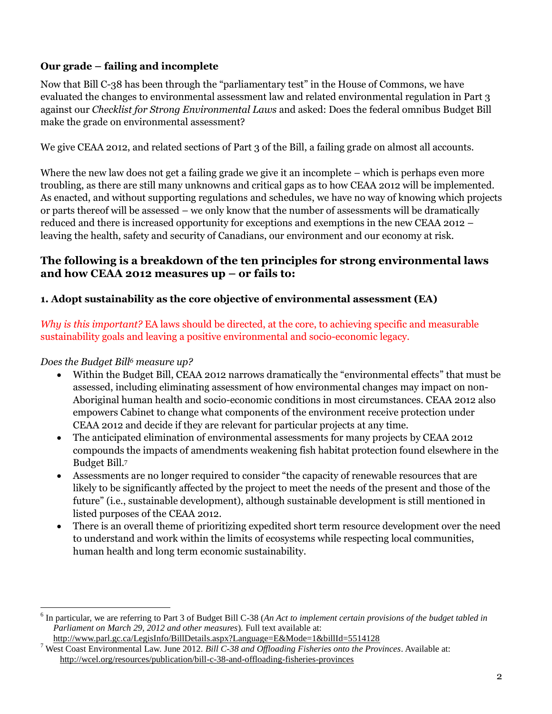# **Our grade – failing and incomplete**

Now that Bill C-38 has been through the "parliamentary test" in the House of Commons, we have evaluated the changes to environmental assessment law and related environmental regulation in Part 3 against our *Checklist for Strong Environmental Laws* and asked: Does the federal omnibus Budget Bill make the grade on environmental assessment?

We give CEAA 2012, and related sections of Part 3 of the Bill, a failing grade on almost all accounts.

Where the new law does not get a failing grade we give it an incomplete – which is perhaps even more troubling, as there are still many unknowns and critical gaps as to how CEAA 2012 will be implemented. As enacted, and without supporting regulations and schedules, we have no way of knowing which projects or parts thereof will be assessed – we only know that the number of assessments will be dramatically reduced and there is increased opportunity for exceptions and exemptions in the new CEAA 2012 – leaving the health, safety and security of Canadians, our environment and our economy at risk.

# **The following is a breakdown of the ten principles for strong environmental laws and how CEAA 2012 measures up – or fails to:**

# **1. Adopt sustainability as the core objective of environmental assessment (EA)**

*Why is this important?* EA laws should be directed, at the core, to achieving specific and measurable sustainability goals and leaving a positive environmental and socio-economic legacy.

# *Does the Budget Bill<sup>6</sup> measure up?*

 $\overline{a}$ 

- Within the Budget Bill, CEAA 2012 narrows dramatically the "environmental effects" that must be assessed, including eliminating assessment of how environmental changes may impact on non-Aboriginal human health and socio-economic conditions in most circumstances. CEAA 2012 also empowers Cabinet to change what components of the environment receive protection under CEAA 2012 and decide if they are relevant for particular projects at any time.
- The anticipated elimination of environmental assessments for many projects by CEAA 2012 compounds the impacts of amendments weakening fish habitat protection found elsewhere in the Budget Bill.<sup>7</sup>
- Assessments are no longer required to consider "the capacity of renewable resources that are likely to be significantly affected by the project to meet the needs of the present and those of the future" (i.e., sustainable development), although sustainable development is still mentioned in listed purposes of the CEAA 2012.
- There is an overall theme of prioritizing expedited short term resource development over the need to understand and work within the limits of ecosystems while respecting local communities, human health and long term economic sustainability.

<sup>6</sup> In particular, we are referring to Part 3 of Budget Bill C-38 (*An Act to implement certain provisions of the budget tabled in Parliament on March 29, 2012 and other measures*)*.* Full text available at: <http://www.parl.gc.ca/LegisInfo/BillDetails.aspx?Language=E&Mode=1&billId=5514128>

<sup>7</sup> West Coast Environmental Law. June 2012. *Bill C-38 and Offloading Fisheries onto the Provinces*. Available at: <http://wcel.org/resources/publication/bill-c-38-and-offloading-fisheries-provinces>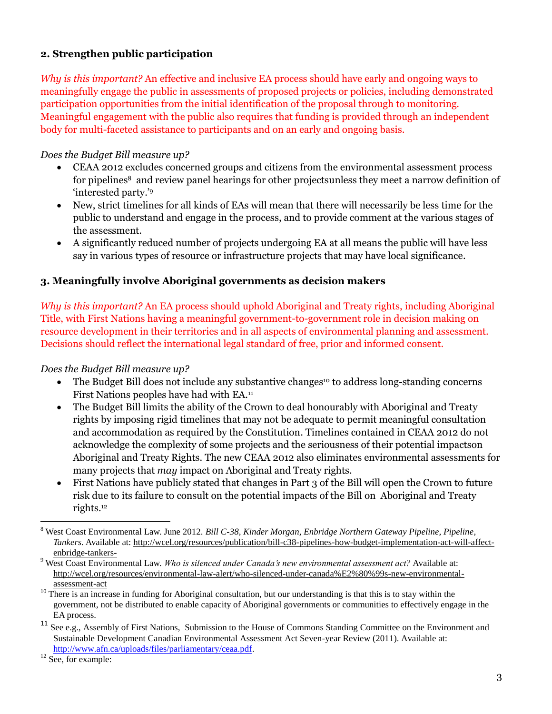## **2. Strengthen public participation**

*Why is this important?* An effective and inclusive EA process should have early and ongoing ways to meaningfully engage the public in assessments of proposed projects or policies, including demonstrated participation opportunities from the initial identification of the proposal through to monitoring. Meaningful engagement with the public also requires that funding is provided through an independent body for multi-faceted assistance to participants and on an early and ongoing basis.

## *Does the Budget Bill measure up?*

- CEAA 2012 excludes concerned groups and citizens from the environmental assessment process for pipelines<sup>8</sup> and review panel hearings for other projectsunless they meet a narrow definition of 'interested party.'<sup>9</sup>
- New, strict timelines for all kinds of EAs will mean that there will necessarily be less time for the public to understand and engage in the process, and to provide comment at the various stages of the assessment.
- A significantly reduced number of projects undergoing EA at all means the public will have less say in various types of resource or infrastructure projects that may have local significance.

## **3. Meaningfully involve Aboriginal governments as decision makers**

*Why is this important?* An EA process should uphold Aboriginal and Treaty rights, including Aboriginal Title, with First Nations having a meaningful government-to-government role in decision making on resource development in their territories and in all aspects of environmental planning and assessment. Decisions should reflect the international legal standard of free, prior and informed consent.

#### *Does the Budget Bill measure up?*

- $\bullet$  The Budget Bill does not include any substantive changes<sup>10</sup> to address long-standing concerns First Nations peoples have had with EA.<sup>11</sup>
- The Budget Bill limits the ability of the Crown to deal honourably with Aboriginal and Treaty rights by imposing rigid timelines that may not be adequate to permit meaningful consultation and accommodation as required by the Constitution. Timelines contained in CEAA 2012 do not acknowledge the complexity of some projects and the seriousness of their potential impactson Aboriginal and Treaty Rights. The new CEAA 2012 also eliminates environmental assessments for many projects that *may* impact on Aboriginal and Treaty rights.
- First Nations have publicly stated that changes in Part 3 of the Bill will open the Crown to future risk due to its failure to consult on the potential impacts of the Bill on Aboriginal and Treaty rights. 12

<sup>9</sup> West Coast Environmental Law. *Who is silenced under Canada's new environmental assessment act?* Available at: [http://wcel.org/resources/environmental-law-alert/who-silenced-under-canada%E2%80%99s-new-environmental](http://wcel.org/resources/environmental-law-alert/who-silenced-under-canada’s-new-environmental-assessment-act)[assessment-act](http://wcel.org/resources/environmental-law-alert/who-silenced-under-canada’s-new-environmental-assessment-act)

 $\overline{a}$ 

<sup>8</sup> West Coast Environmental Law. June 2012. *Bill C-38, Kinder Morgan, Enbridge Northern Gateway Pipeline, Pipeline, Tankers*. Available at: [http://wcel.org/resources/publication/bill-c38-pipelines-how-budget-implementation-act-will-affect](http://wcel.org/resources/publication/bill-c38-pipelines-how-budget-implementation-act-will-affect-enbridge-tankers-)[enbridge-tankers-](http://wcel.org/resources/publication/bill-c38-pipelines-how-budget-implementation-act-will-affect-enbridge-tankers-)

<sup>&</sup>lt;sup>10</sup> There is an increase in funding for Aboriginal consultation, but our understanding is that this is to stay within the government, not be distributed to enable capacity of Aboriginal governments or communities to effectively engage in the EA process.

 $11$  See e.g., Assembly of First Nations, Submission to the House of Commons Standing Committee on the Environment and Sustainable Development Canadian Environmental Assessment Act Seven-year Review (2011). Available at: [http://www.afn.ca/uploads/files/parliamentary/ceaa.pdf.](http://www.afn.ca/uploads/files/parliamentary/ceaa.pdf)

<sup>&</sup>lt;sup>12</sup> See, for example: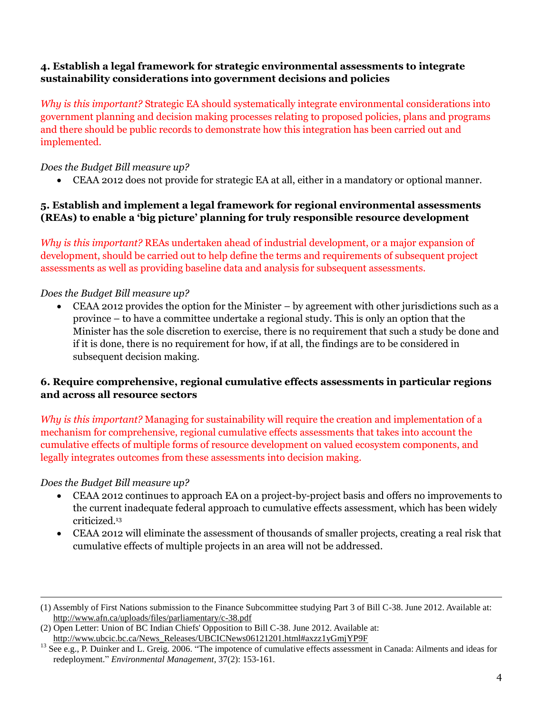## **4. Establish a legal framework for strategic environmental assessments to integrate sustainability considerations into government decisions and policies**

*Why is this important?* Strategic EA should systematically integrate environmental considerations into government planning and decision making processes relating to proposed policies, plans and programs and there should be public records to demonstrate how this integration has been carried out and implemented.

#### *Does the Budget Bill measure up?*

CEAA 2012 does not provide for strategic EA at all, either in a mandatory or optional manner.

## **5. Establish and implement a legal framework for regional environmental assessments (REAs) to enable a 'big picture' planning for truly responsible resource development**

*Why is this important?* REAs undertaken ahead of industrial development, or a major expansion of development, should be carried out to help define the terms and requirements of subsequent project assessments as well as providing baseline data and analysis for subsequent assessments.

## *Does the Budget Bill measure up?*

 CEAA 2012 provides the option for the Minister – by agreement with other jurisdictions such as a province – to have a committee undertake a regional study. This is only an option that the Minister has the sole discretion to exercise, there is no requirement that such a study be done and if it is done, there is no requirement for how, if at all, the findings are to be considered in subsequent decision making.

## **6. Require comprehensive, regional cumulative effects assessments in particular regions and across all resource sectors**

*Why is this important?* Managing for sustainability will require the creation and implementation of a mechanism for comprehensive, regional cumulative effects assessments that takes into account the cumulative effects of multiple forms of resource development on valued ecosystem components, and legally integrates outcomes from these assessments into decision making.

#### *Does the Budget Bill measure up?*

 $\overline{a}$ 

- CEAA 2012 continues to approach EA on a project-by-project basis and offers no improvements to the current inadequate federal approach to cumulative effects assessment, which has been widely criticized.<sup>13</sup>
- CEAA 2012 will eliminate the assessment of thousands of smaller projects, creating a real risk that cumulative effects of multiple projects in an area will not be addressed.

<sup>(1)</sup> Assembly of First Nations submission to the Finance Subcommittee studying Part 3 of Bill C-38. June 2012. Available at: <http://www.afn.ca/uploads/files/parliamentary/c-38.pdf>

<sup>(2)</sup> Open Letter: Union of BC Indian Chiefs' Opposition to Bill C-38. June 2012. Available at: [http://www.ubcic.bc.ca/News\\_Releases/UBCICNews06121201.html#axzz1yGmjYP9F](http://www.ubcic.bc.ca/News_Releases/UBCICNews06121201.html#axzz1yGmjYP9F)

<sup>&</sup>lt;sup>13</sup> See e.g., P. Duinker and L. Greig. 2006. "The impotence of cumulative effects assessment in Canada: Ailments and ideas for redeployment." *Environmental Management*, 37(2): 153-161.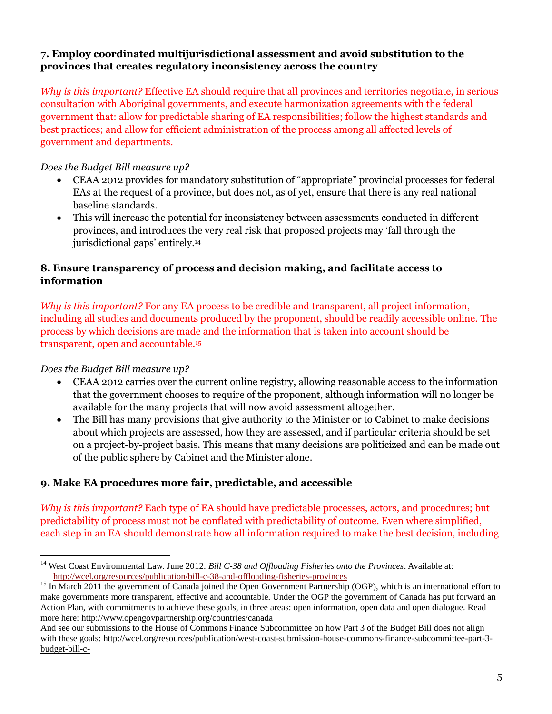## **7. Employ coordinated multijurisdictional assessment and avoid substitution to the provinces that creates regulatory inconsistency across the country**

*Why is this important?* Effective EA should require that all provinces and territories negotiate, in serious consultation with Aboriginal governments, and execute harmonization agreements with the federal government that: allow for predictable sharing of EA responsibilities; follow the highest standards and best practices; and allow for efficient administration of the process among all affected levels of government and departments.

## *Does the Budget Bill measure up?*

- CEAA 2012 provides for mandatory substitution of "appropriate" provincial processes for federal EAs at the request of a province, but does not, as of yet, ensure that there is any real national baseline standards.
- This will increase the potential for inconsistency between assessments conducted in different provinces, and introduces the very real risk that proposed projects may 'fall through the jurisdictional gaps' entirely. 14

# **8. Ensure transparency of process and decision making, and facilitate access to information**

*Why is this important?* For any EA process to be credible and transparent, all project information, including all studies and documents produced by the proponent, should be readily accessible online. The process by which decisions are made and the information that is taken into account should be transparent, open and accountable.<sup>15</sup>

# *Does the Budget Bill measure up?*

 $\overline{a}$ 

- CEAA 2012 carries over the current online registry, allowing reasonable access to the information that the government chooses to require of the proponent, although information will no longer be available for the many projects that will now avoid assessment altogether.
- The Bill has many provisions that give authority to the Minister or to Cabinet to make decisions about which projects are assessed, how they are assessed, and if particular criteria should be set on a project-by-project basis. This means that many decisions are politicized and can be made out of the public sphere by Cabinet and the Minister alone.

# **9. Make EA procedures more fair, predictable, and accessible**

*Why is this important?* Each type of EA should have predictable processes, actors, and procedures; but predictability of process must not be conflated with predictability of outcome. Even where simplified, each step in an EA should demonstrate how all information required to make the best decision, including

<sup>&</sup>lt;sup>14</sup> West Coast Environmental Law. June 2012. *Bill C-38 and Offloading Fisheries onto the Provinces*. Available at: <http://wcel.org/resources/publication/bill-c-38-and-offloading-fisheries-provinces>

<sup>&</sup>lt;sup>15</sup> In March 2011 the government of Canada joined the Open Government Partnership (OGP), which is an international effort to make governments more transparent, effective and accountable. Under the OGP the government of Canada has put forward an Action Plan, with commitments to achieve these goals, in three areas: open information, open data and open dialogue. Read more here:<http://www.opengovpartnership.org/countries/canada>

And see our submissions to the House of Commons Finance Subcommittee on how Part 3 of the Budget Bill does not align with these goals[: http://wcel.org/resources/publication/west-coast-submission-house-commons-finance-subcommittee-part-3](http://wcel.org/resources/publication/west-coast-submission-house-commons-finance-subcommittee-part-3-budget-bill-c-) [budget-bill-c-](http://wcel.org/resources/publication/west-coast-submission-house-commons-finance-subcommittee-part-3-budget-bill-c-)